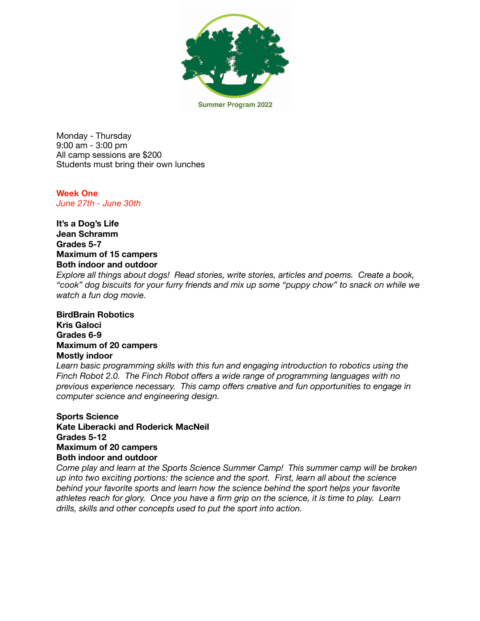

**Summer Program 2022** 

Monday - Thursday 9:00 am - 3:00 pm All camp sessions are \$200 Students must bring their own lunches

**Week One**  *June 27th - June 30th* 

**It's a Dog's Life Jean Schramm Grades 5-7 Maximum of 15 campers Both indoor and outdoor** 

*Explore all things about dogs! Read stories, write stories, articles and poems. Create a book, "cook" dog biscuits for your furry friends and mix up some "puppy chow" to snack on while we watch a fun dog movie.* 

## **BirdBrain Robotics Kris Galoci Grades 6-9 Maximum of 20 campers Mostly indoor**

*Learn basic programming skills with this fun and engaging introduction to robotics using the Finch Robot 2.0. The Finch Robot offers a wide range of programming languages with no previous experience necessary. This camp offers creative and fun opportunities to engage in computer science and engineering design.* 

**Sports Science Kate Liberacki and Roderick MacNeil Grades 5-12 Maximum of 20 campers Both indoor and outdoor** 

*Come play and learn at the Sports Science Summer Camp! This summer camp will be broken up into two exciting portions: the science and the sport. First, learn all about the science behind your favorite sports and learn how the science behind the sport helps your favorite athletes reach for glory. Once you have a firm grip on the science, it is time to play. Learn drills, skills and other concepts used to put the sport into action.*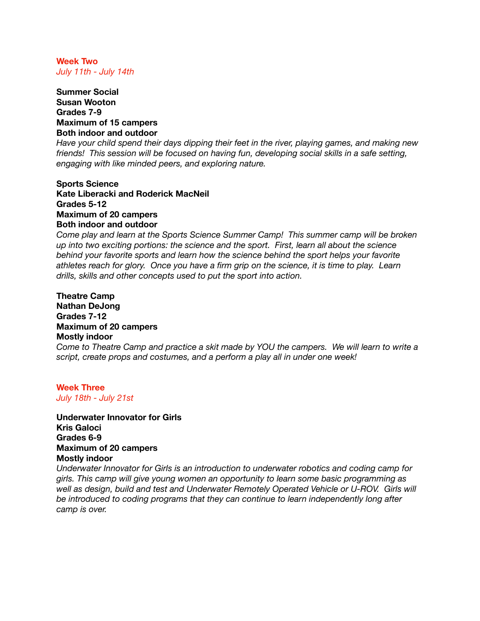**Week Two**  *July 11th - July 14th* 

## **Summer Social Susan Wooton Grades 7-9 Maximum of 15 campers Both indoor and outdoor**

*Have your child spend their days dipping their feet in the river, playing games, and making new friends! This session will be focused on having fun, developing social skills in a safe setting, engaging with like minded peers, and exploring nature.* 

**Sports Science Kate Liberacki and Roderick MacNeil Grades 5-12 Maximum of 20 campers Both indoor and outdoor** 

*Come play and learn at the Sports Science Summer Camp! This summer camp will be broken up into two exciting portions: the science and the sport. First, learn all about the science behind your favorite sports and learn how the science behind the sport helps your favorite athletes reach for glory. Once you have a firm grip on the science, it is time to play. Learn drills, skills and other concepts used to put the sport into action.* 

# **Theatre Camp Nathan DeJong Grades 7-12 Maximum of 20 campers Mostly indoor**

*Come to Theatre Camp and practice a skit made by YOU the campers. We will learn to write a script, create props and costumes, and a perform a play all in under one week!* 

#### **Week Three**  *July 18th - July 21st*

**Underwater Innovator for Girls Kris Galoci Grades 6-9 Maximum of 20 campers Mostly indoor** 

*Underwater Innovator for Girls is an introduction to underwater robotics and coding camp for girls. This camp will give young women an opportunity to learn some basic programming as well as design, build and test and Underwater Remotely Operated Vehicle or U-ROV. Girls will be introduced to coding programs that they can continue to learn independently long after camp is over.*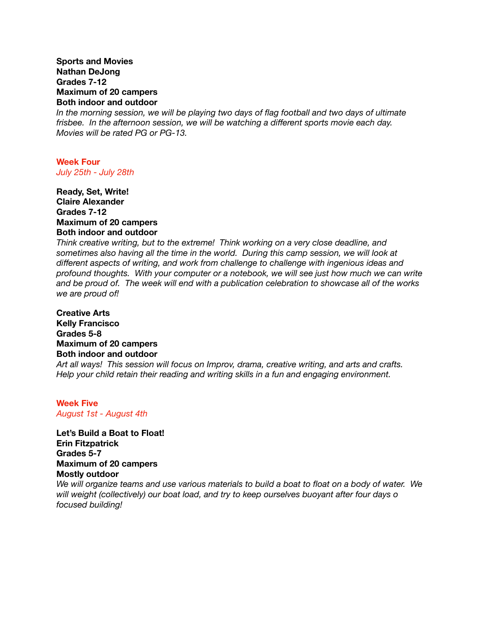#### **Sports and Movies Nathan DeJong Grades 7-12 Maximum of 20 campers Both indoor and outdoor**

*In the morning session, we will be playing two days of flag football and two days of ultimate frisbee. In the afternoon session, we will be watching a different sports movie each day. Movies will be rated PG or PG-13.* 

# **Week Four**  *July 25th - July 28th*

## **Ready, Set, Write! Claire Alexander Grades 7-12 Maximum of 20 campers Both indoor and outdoor**

*Think creative writing, but to the extreme! Think working on a very close deadline, and sometimes also having all the time in the world. During this camp session, we will look at different aspects of writing, and work from challenge to challenge with ingenious ideas and profound thoughts. With your computer or a notebook, we will see just how much we can write and be proud of. The week will end with a publication celebration to showcase all of the works we are proud of!* 

**Creative Arts Kelly Francisco Grades 5-8 Maximum of 20 campers Both indoor and outdoor** 

*Art all ways! This session will focus on Improv, drama, creative writing, and arts and crafts. Help your child retain their reading and writing skills in a fun and engaging environment.* 

## **Week Five**  *August 1st - August 4th*

**Let's Build a Boat to Float! Erin Fitzpatrick Grades 5-7 Maximum of 20 campers Mostly outdoor** 

*We will organize teams and use various materials to build a boat to float on a body of water. We will weight (collectively) our boat load, and try to keep ourselves buoyant after four days o focused building!*